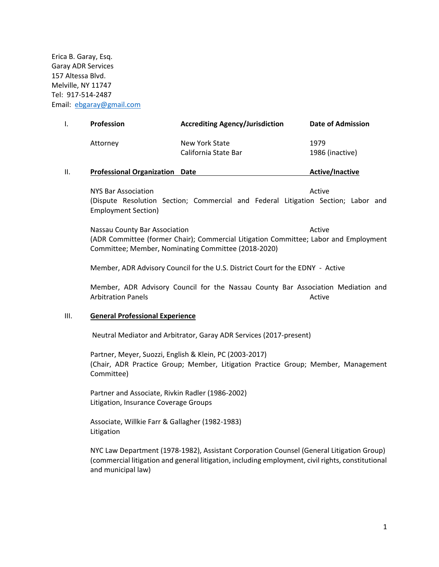Erica B. Garay, Esq. Garay ADR Services 157 Altessa Blvd. Melville, NY 11747 Tel: 917-514-2487 Email: [ebgaray@gmail.com](mailto:ebgaray@gmail.com)

| <b>Profession</b> | <b>Accrediting Agency/Jurisdiction</b> | Date of Admission       |
|-------------------|----------------------------------------|-------------------------|
| Attorney          | New York State<br>California State Bar | 1979<br>1986 (inactive) |
|                   |                                        |                         |

#### **II. Professional Organization** Date **Active/Inactive**

NYS Bar Association Active Active Active Active Active Active Active Active Active (Dispute Resolution Section; Commercial and Federal Litigation Section; Labor and Employment Section)

Nassau County Bar Association and a series of the Active (ADR Committee (former Chair); Commercial Litigation Committee; Labor and Employment Committee; Member, Nominating Committee (2018-2020)

Member, ADR Advisory Council for the U.S. District Court for the EDNY - Active

Member, ADR Advisory Council for the Nassau County Bar Association Mediation and Arbitration Panels **Active** Active Active Active Active Active

#### III. **General Professional Experience**

Neutral Mediator and Arbitrator, Garay ADR Services (2017-present)

Partner, Meyer, Suozzi, English & Klein, PC (2003-2017) (Chair, ADR Practice Group; Member, Litigation Practice Group; Member, Management Committee)

Partner and Associate, Rivkin Radler (1986-2002) Litigation, Insurance Coverage Groups

Associate, Willkie Farr & Gallagher (1982-1983) Litigation

NYC Law Department (1978-1982), Assistant Corporation Counsel (General Litigation Group) (commercial litigation and general litigation, including employment, civil rights, constitutional and municipal law)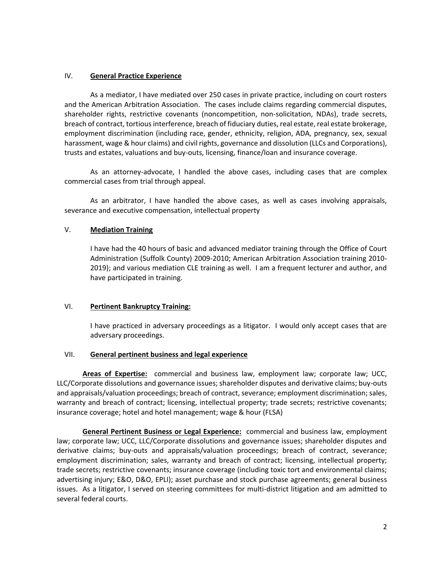# IV. **General Practice Experience**

As a mediator, I have mediated over 250 cases in private practice, including on court rosters and the American Arbitration Association. The cases include claims regarding commercial disputes, shareholder rights, restrictive covenants (noncompetition, non-solicitation, NDAs), trade secrets, breach of contract, tortious interference, breach of fiduciary duties, real estate, real estate brokerage, employment discrimination (including race, gender, ethnicity, religion, ADA, pregnancy, sex, sexual harassment, wage & hour claims) and civil rights, governance and dissolution (LLCs and Corporations), trusts and estates, valuations and buy-outs, licensing, finance/loan and insurance coverage.

As an attorney-advocate, I handled the above cases, including cases that are complex commercial cases from trial through appeal.

As an arbitrator, I have handled the above cases, as well as cases involving appraisals, severance and executive compensation, intellectual property

# V. **Mediation Training**

I have had the 40 hours of basic and advanced mediator training through the Office of Court Administration (Suffolk County) 2009-2010; American Arbitration Association training 2010- 2019); and various mediation CLE training as well. I am a frequent lecturer and author, and have participated in training.

## VI. **Pertinent Bankruptcy Training:**

I have practiced in adversary proceedings as a litigator. I would only accept cases that are adversary proceedings.

## VII. **General pertinent business and legal experience**

**Areas of Expertise:** commercial and business law, employment law; corporate law; UCC, LLC/Corporate dissolutions and governance issues; shareholder disputes and derivative claims; buy-outs and appraisals/valuation proceedings; breach of contract, severance; employment discrimination; sales, warranty and breach of contract; licensing, intellectual property; trade secrets; restrictive covenants; insurance coverage; hotel and hotel management; wage & hour (FLSA)

**General Pertinent Business or Legal Experience:** commercial and business law, employment law; corporate law; UCC, LLC/Corporate dissolutions and governance issues; shareholder disputes and derivative claims; buy-outs and appraisals/valuation proceedings; breach of contract, severance; employment discrimination; sales, warranty and breach of contract; licensing, intellectual property; trade secrets; restrictive covenants; insurance coverage (including toxic tort and environmental claims; advertising injury; E&O, D&O, EPLI); asset purchase and stock purchase agreements; general business issues. As a litigator, I served on steering committees for multi-district litigation and am admitted to several federal courts.